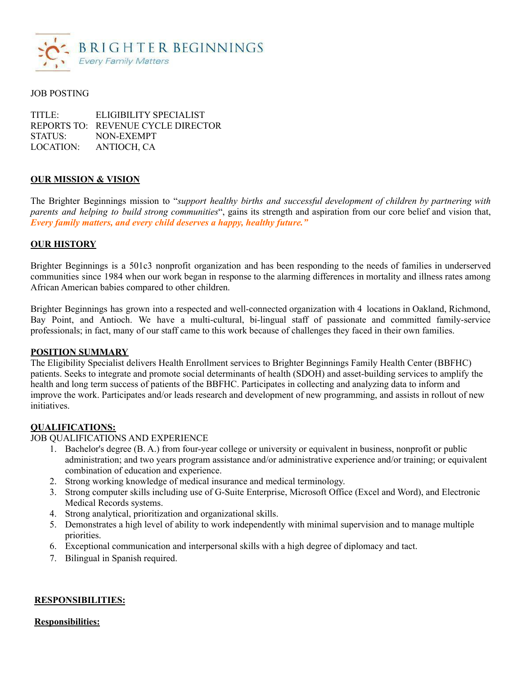

### JOB POSTING

TITLE: ELIGIBILITY SPECIALIST REPORTS TO: REVENUE CYCLE DIRECTOR STATUS: NON-EXEMPT LOCATION: ANTIOCH, CA

### **OUR MISSION & VISION**

The Brighter Beginnings mission to "*support healthy births and successful development of children by partnering with parents and helping to build strong communities*", gains its strength and aspiration from our core belief and vision that, *Every family matters, and every child deserves a happy, healthy future."*

### **OUR HISTORY**

Brighter Beginnings is a 501c3 nonprofit organization and has been responding to the needs of families in underserved communities since 1984 when our work began in response to the alarming differences in mortality and illness rates among African American babies compared to other children.

Brighter Beginnings has grown into a respected and well-connected organization with 4 locations in Oakland, Richmond, Bay Point, and Antioch. We have a multi-cultural, bi-lingual staff of passionate and committed family-service professionals; in fact, many of our staff came to this work because of challenges they faced in their own families.

#### **POSITION SUMMARY**

The Eligibility Specialist delivers Health Enrollment services to Brighter Beginnings Family Health Center (BBFHC) patients. Seeks to integrate and promote social determinants of health (SDOH) and asset-building services to amplify the health and long term success of patients of the BBFHC. Participates in collecting and analyzing data to inform and improve the work. Participates and/or leads research and development of new programming, and assists in rollout of new initiatives.

#### **QUALIFICATIONS:**

JOB QUALIFICATIONS AND EXPERIENCE

- 1. Bachelor's degree (B. A.) from four-year college or university or equivalent in business, nonprofit or public administration; and two years program assistance and/or administrative experience and/or training; or equivalent combination of education and experience.
- 2. Strong working knowledge of medical insurance and medical terminology.
- 3. Strong computer skills including use of G-Suite Enterprise, Microsoft Office (Excel and Word), and Electronic Medical Records systems.
- 4. Strong analytical, prioritization and organizational skills.
- 5. Demonstrates a high level of ability to work independently with minimal supervision and to manage multiple priorities.
- 6. Exceptional communication and interpersonal skills with a high degree of diplomacy and tact.
- 7. Bilingual in Spanish required.

### **RESPONSIBILITIES:**

### **Responsibilities:**